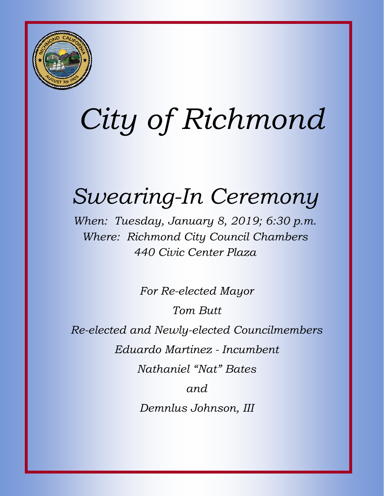

# *City of Richmond*

## *Swearing-In Ceremony*

*When: Tuesday, January 8, 2019; 6:30 p.m. Where: Richmond City Council Chambers 440 Civic Center Plaza* 

*For Re-elected Mayor* 

*Tom Butt* 

*Re-elected and Newly-elected Councilmembers* 

*Eduardo Martinez - Incumbent* 

*Nathaniel "Nat" Bates* 

*and* 

*Demnlus Johnson, III*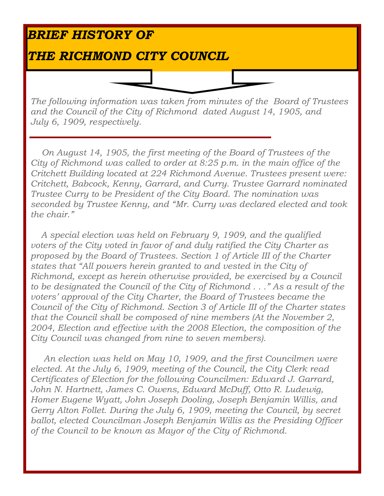### *BRIEF HISTORY OF*

#### *THE RICHMOND CITY COUNCIL*

*The following information was taken from minutes of the Board of Trustees and the Council of the City of Richmond dated August 14, 1905, and July 6, 1909, respectively.* 

 *On August 14, 1905, the first meeting of the Board of Trustees of the City of Richmond was called to order at 8:25 p.m. in the main office of the Critchett Building located at 224 Richmond Avenue. Trustees present were: Critchett, Babcock, Kenny, Garrard, and Curry. Trustee Garrard nominated Trustee Curry to be President of the City Board. The nomination was seconded by Trustee Kenny, and "Mr. Curry was declared elected and took the chair."* 

 *A special election was held on February 9, 1909, and the qualified voters of the City voted in favor of and duly ratified the City Charter as proposed by the Board of Trustees. Section 1 of Article III of the Charter states that "All powers herein granted to and vested in the City of Richmond, except as herein otherwise provided, be exercised by a Council to be designated the Council of the City of Richmond . . ." As a result of the voters' approval of the City Charter, the Board of Trustees became the Council of the City of Richmond. Section 3 of Article III of the Charter states that the Council shall be composed of nine members (At the November 2, 2004, Election and effective with the 2008 Election, the composition of the City Council was changed from nine to seven members).* 

 *An election was held on May 10, 1909, and the first Councilmen were elected. At the July 6, 1909, meeting of the Council, the City Clerk read Certificates of Election for the following Councilmen: Edward J. Garrard, John N. Hartnett, James C. Owens, Edward McDuff, Otto R. Ludewig, Homer Eugene Wyatt, John Joseph Dooling, Joseph Benjamin Willis, and Gerry Alton Follet. During the July 6, 1909, meeting the Council, by secret ballot, elected Councilman Joseph Benjamin Willis as the Presiding Officer of the Council to be known as Mayor of the City of Richmond.*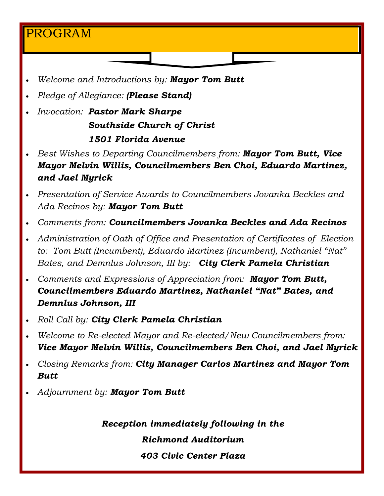#### PROGRAM

- *Welcome and Introductions by: Mayor Tom Butt*
- *Pledge of Allegiance: (Please Stand)*
- *Invocation: Pastor Mark Sharpe Southside Church of Christ 1501 Florida Avenue*
- *Best Wishes to Departing Councilmembers from: Mayor Tom Butt, Vice Mayor Melvin Willis, Councilmembers Ben Choi, Eduardo Martinez, and Jael Myrick*
- *Presentation of Service Awards to Councilmembers Jovanka Beckles and Ada Recinos by: Mayor Tom Butt*
- *Comments from: Councilmembers Jovanka Beckles and Ada Recinos*
- *Administration of Oath of Office and Presentation of Certificates of Election to: Tom Butt (Incumbent), Eduardo Martinez (Incumbent), Nathaniel "Nat" Bates, and Demnlus Johnson, III by: City Clerk Pamela Christian*
- *Comments and Expressions of Appreciation from: Mayor Tom Butt, Councilmembers Eduardo Martinez, Nathaniel "Nat" Bates, and Demnlus Johnson, III*
- *Roll Call by: City Clerk Pamela Christian*
- *Welcome to Re-elected Mayor and Re-elected/New Councilmembers from: Vice Mayor Melvin Willis, Councilmembers Ben Choi, and Jael Myrick*
- *Closing Remarks from: City Manager Carlos Martinez and Mayor Tom Butt*
- *Adjournment by: Mayor Tom Butt*

l

*Reception immediately following in the* 

*Richmond Auditorium* 

*403 Civic Center Plaza*